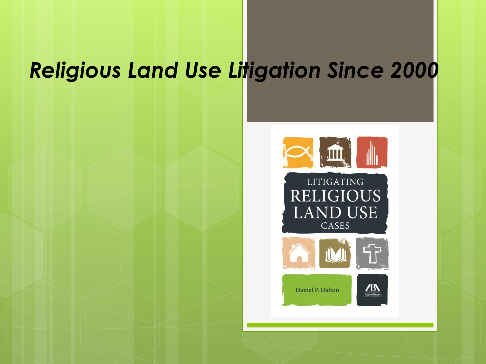## *Religious Land Use Litigation Since 2000*

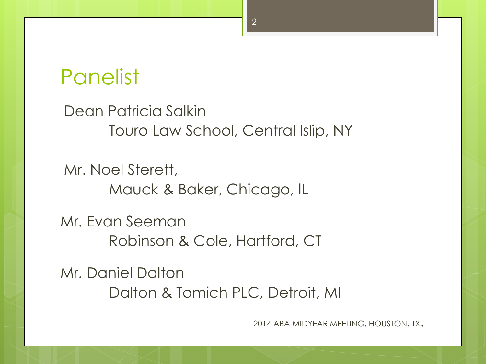### Panelist

Dean Patricia Salkin Touro Law School, Central Islip, NY

Mr. Noel Sterett, Mauck & Baker, Chicago, lL

Mr. Evan Seeman Robinson & Cole, Hartford, CT

Mr. Daniel Dalton Dalton & Tomich PLC, Detroit, MI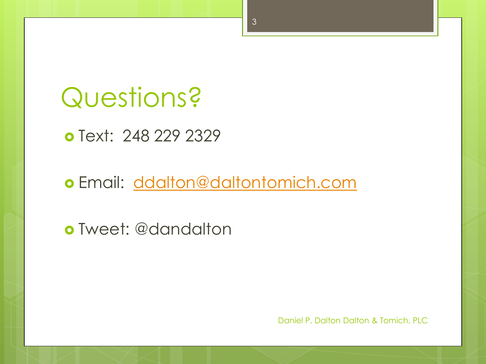# Questions?

o Text: 248 229 2329

o Email: [ddalton@daltontomich.com](mailto:ddalton@daltontomich.com)

Tweet: @dandalton

Daniel P. Dalton Dalton & Tomich, PLC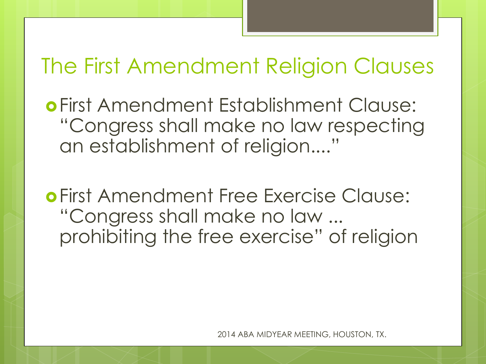### The First Amendment Religion Clauses

First Amendment Establishment Clause: "Congress shall make no law respecting an establishment of religion...."

First Amendment Free Exercise Clause: "Congress shall make no law ... prohibiting the free exercise" of religion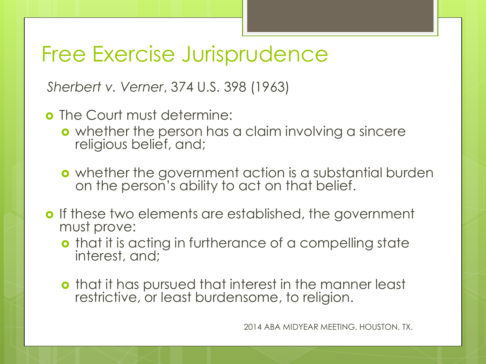### Free Exercise Jurisprudence

*Sherbert v. Verner*, 374 U.S. 398 (1963)

- **o** The Court must determine:
	- **o** whether the person has a claim involving a sincere religious belief, and;
	- o whether the government action is a substantial burden on the person's ability to act on that belief.
- **o** If these two elements are established, the government must prove:
	- **o** that it is acting in furtherance of a compelling state interest, and;
	- **o** that it has pursued that interest in the manner least restrictive, or least burdensome, to religion.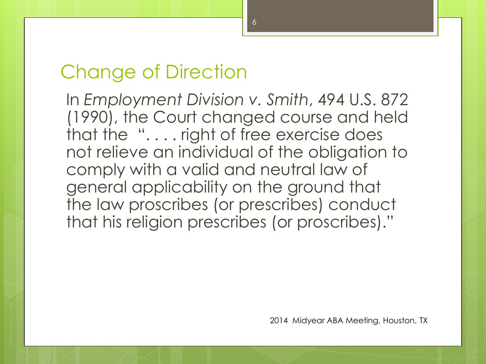#### Change of Direction

In *Employment Division v. Smith*, 494 U.S. 872 (1990), the Court changed course and held that the ". . . . right of free exercise does not relieve an individual of the obligation to comply with a valid and neutral law of general applicability on the ground that the law proscribes (or prescribes) conduct that his religion prescribes (or proscribes)."

2014 Midyear ABA Meeting, Houston, TX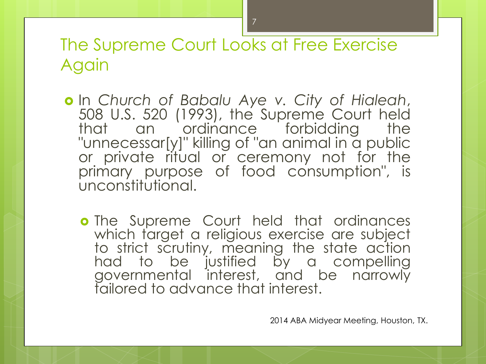The Supreme Court Looks at Free Exercise Again

- In *Church of Babalu Aye v. City of Hialeah*, 508 U.S. 520 (1993), the Supreme Court held that an ordinance forbidding the "unnecessar[y]" killing of "an animal in a public or private ritual or ceremony not for the primary purpose of food consumption", is unconstitutional.
	- **o** The Supreme Court held that ordinances which target a religious exercise are subject to strict scrutiny, meaning the state action had to be justified by a compelling governmental interest, and be narrowly tailored to advance that interest.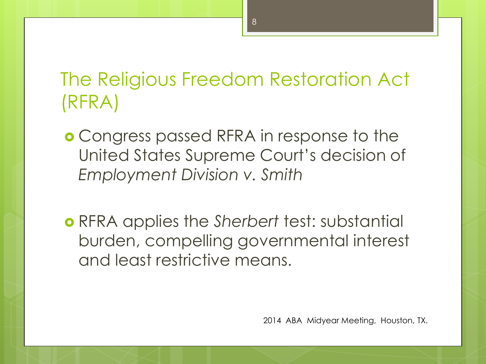### The Religious Freedom Restoration Act (RFRA)

- Congress passed RFRA in response to the United States Supreme Court's decision of *Employment Division v. Smith*
- RFRA applies the *Sherbert* test: substantial burden, compelling governmental interest and least restrictive means.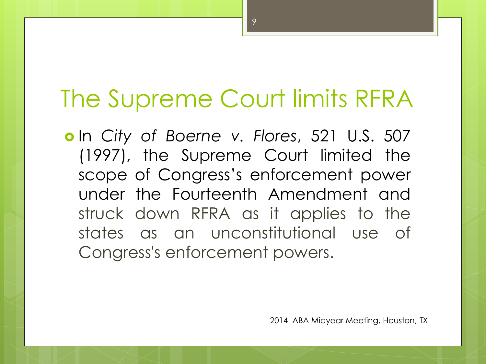## The Supreme Court limits RFRA

 In *City of Boerne v. Flores*, 521 U.S. 507 (1997), the Supreme Court limited the scope of Congress's enforcement power under the Fourteenth Amendment and struck down RFRA as it applies to the states as an unconstitutional use of Congress's enforcement powers.

2014 ABA Midyear Meeting, Houston, TX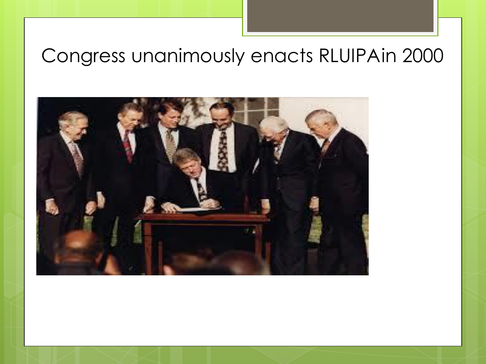### Congress unanimously enacts RLUIPAin 2000

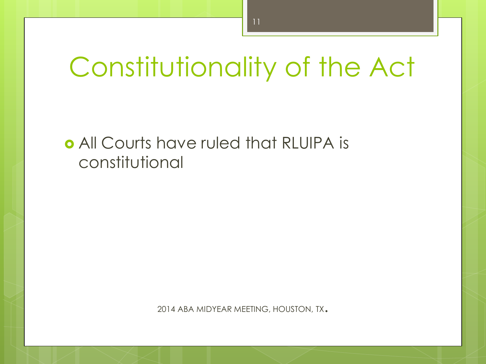# Constitutionality of the Act

#### All Courts have ruled that RLUIPA is constitutional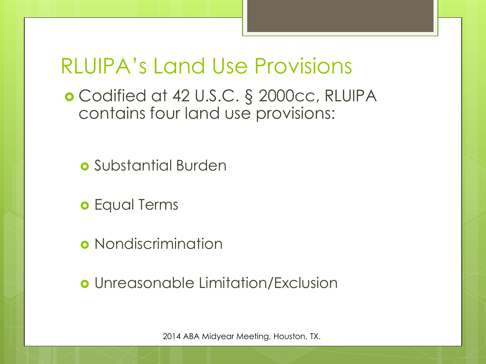### RLUIPA's Land Use Provisions

- Codified at 42 U.S.C. § 2000cc, RLUIPA contains four land use provisions:
	- **o** Substantial Burden
	- **o** Equal Terms
	- **o** Nondiscrimination
	- Unreasonable Limitation/Exclusion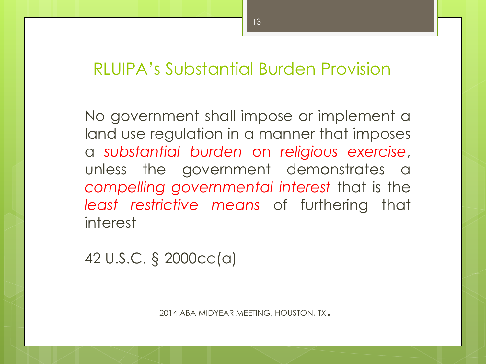#### RLUIPA's Substantial Burden Provision

No government shall impose or implement a land use regulation in a manner that imposes a *substantial burden* on *religious exercise*, unless the government demonstrates a *compelling governmental interest* that is the *least restrictive means* of furthering that interest

42 U.S.C. § 2000cc(a)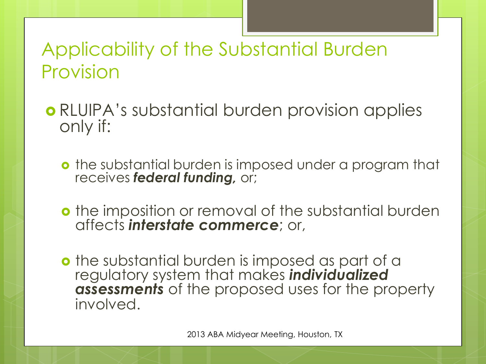### Applicability of the Substantial Burden Provision

- RLUIPA's substantial burden provision applies only if:
	- **o** the substantial burden is imposed under a program that receives *federal funding,* or;
	- **o** the imposition or removal of the substantial burden affects *interstate commerce*; or,
	- **o** the substantial burden is imposed as part of a regulatory system that makes *individualized assessments* of the proposed uses for the property involved.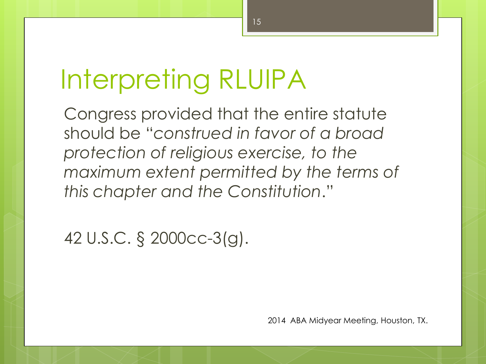# Interpreting RLUIPA

Congress provided that the entire statute should be "*construed in favor of a broad protection of religious exercise, to the maximum extent permitted by the terms of this chapter and the Constitution*."

42 U.S.C. § 2000cc-3(g).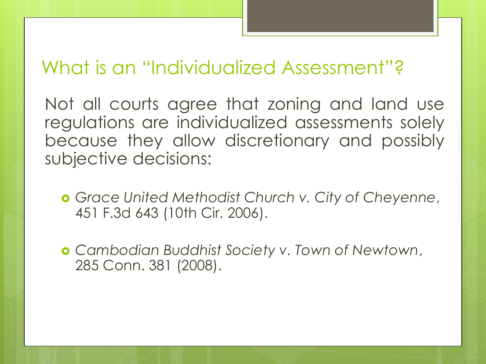### What is an "Individualized Assessment"?

Not all courts agree that zoning and land use regulations are individualized assessments solely because they allow discretionary and possibly subjective decisions:

- *Grace United Methodist Church v. City of Cheyenne*, 451 F.3d 643 (10th Cir. 2006).
- *Cambodian Buddhist Society v. Town of Newtown*, 285 Conn. 381 (2008).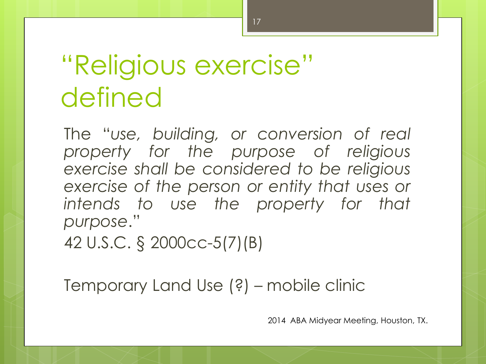# "Religious exercise" defined

The "*use, building, or conversion of real property for the purpose of religious exercise shall be considered to be religious exercise of the person or entity that uses or intends to use the property for that purpose*."

42 U.S.C. § 2000cc-5(7)(B)

Temporary Land Use (?) – mobile clinic

2014 ABA Midyear Meeting, Houston, TX.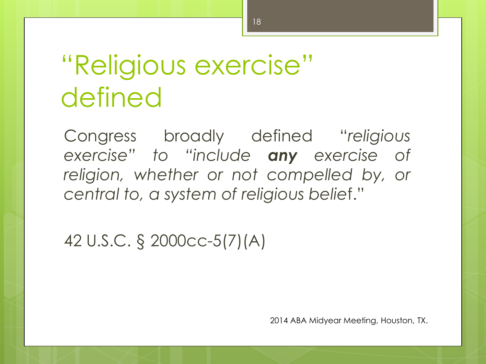# "Religious exercise" defined

Congress broadly defined "*religious exercise" to "include any exercise of religion, whether or not compelled by, or central to, a system of religious belie*f."

42 U.S.C. § 2000cc-5(7)(A)

2014 ABA Midyear Meeting, Houston, TX.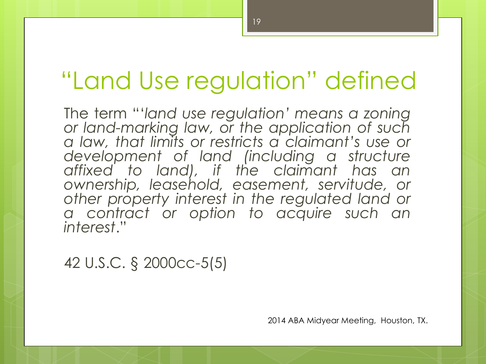## "Land Use regulation" defined

The term "'*land use regulation' means a zoning or land-marking law, or the application of such a law, that limits or restricts a claimant's use or development of land (including a structure affixed to land), if the claimant has an ownership, leasehold, easement, servitude, or other property interest in the regulated land or a contract or option to acquire such an interest*."

42 U.S.C. § 2000cc-5(5)

2014 ABA Midyear Meeting, Houston, TX.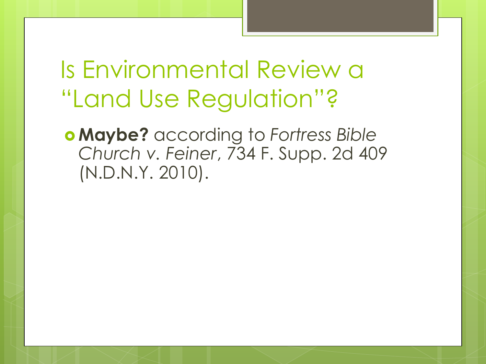Is Environmental Review a "Land Use Regulation"?

 **Maybe?** according to *Fortress Bible Church v. Feiner*, 734 F. Supp. 2d 409 (N.D.N.Y. 2010).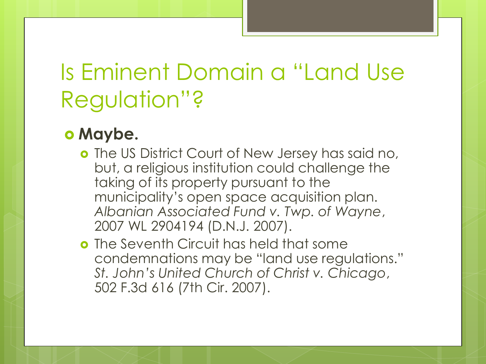## Is Eminent Domain a "Land Use Regulation"?

#### **o** Maybe.

- **o** The US District Court of New Jersey has said no, but, a religious institution could challenge the taking of its property pursuant to the municipality's open space acquisition plan. *Albanian Associated Fund v. Twp. of Wayne*, 2007 WL 2904194 (D.N.J. 2007).
- o The Seventh Circuit has held that some condemnations may be "land use regulations." *St. John's United Church of Christ v. Chicago*, 502 F.3d 616 (7th Cir. 2007).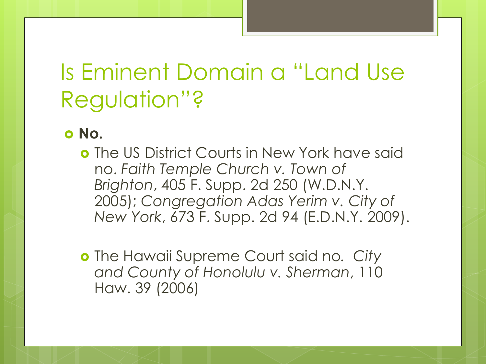## Is Eminent Domain a "Land Use Regulation"?

#### **No.**

**o** The US District Courts in New York have said no. *Faith Temple Church v. Town of Brighton*, 405 F. Supp. 2d 250 (W.D.N.Y. 2005); *Congregation Adas Yerim v. City of New York*, 673 F. Supp. 2d 94 (E.D.N.Y. 2009).

 The Hawaii Supreme Court said no*. City and County of Honolulu v. Sherman*, 110 Haw. 39 (2006)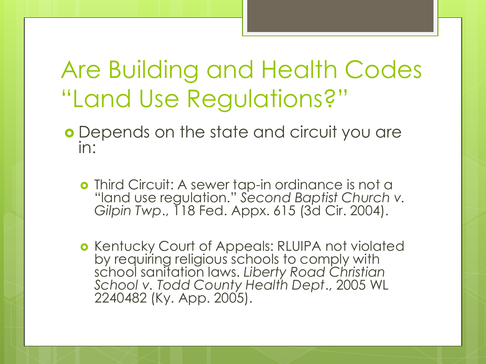## Are Building and Health Codes "Land Use Regulations?"

- Depends on the state and circuit you are in:
	- **o** Third Circuit: A sewer tap-in ordinance is not a "land use regulation." *Second Baptist Church v. Gilpin Twp*., 118 Fed. Appx. 615 (3d Cir. 2004).
	- **o** Kentucky Court of Appeals: RLUIPA not violated by requiring religious schools to comply with school sanitation laws. *Liberty Road Christian School v. Todd County Health Dept*., 2005 WL 2240482 (Ky. App. 2005).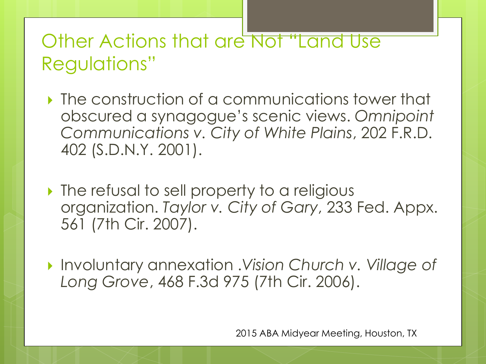### Other Actions that are Not "Land Use Regulations"

- **If** the construction of a communications tower that obscured a synagogue's scenic views. *Omnipoint Communications v. City of White Plains*, 202 F.R.D. 402 (S.D.N.Y. 2001).
- If the refusal to sell property to a religious organization. *Taylor v. City of Gary*, 233 Fed. Appx. 561 (7th Cir. 2007).
- Involuntary annexation .*Vision Church v. Village of Long Grove*, 468 F.3d 975 (7th Cir. 2006).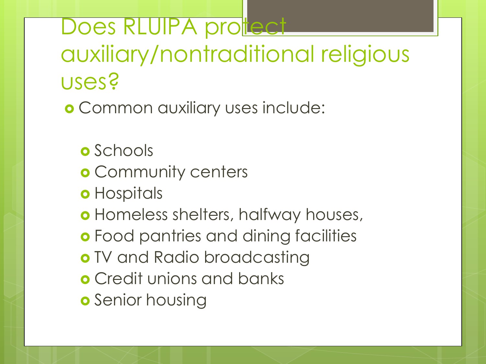Does RLUIPA protect auxiliary/nontraditional religious uses?

Common auxiliary uses include:

- **o** Schools
- **o** Community centers
- **o** Hospitals
- Homeless shelters, halfway houses,
- **o** Food pantries and dining facilities
- o TV and Radio broadcasting
- **o** Credit unions and banks
- **o** Senior housing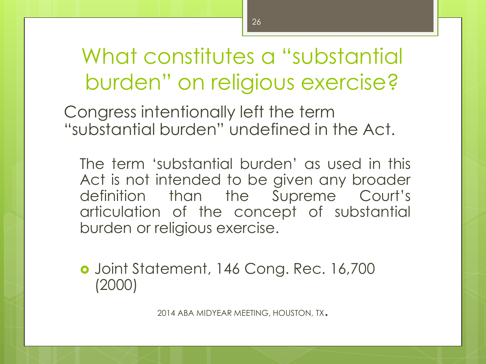Congress intentionally left the term "substantial burden" undefined in the Act.

The term 'substantial burden' as used in this Act is not intended to be given any broader definition than the Supreme Court's articulation of the concept of substantial burden or religious exercise.

 Joint Statement, 146 Cong. Rec. 16,700 (2000)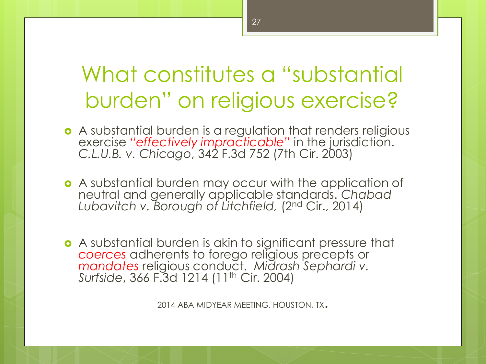- A substantial burden is a regulation that renders religious exercise *"effectively impracticable"* in the jurisdiction. *C.L.U.B. v. Chicago*, 342 F.3d 752 (7th Cir. 2003)
- **•** A substantial burden may occur with the application of neutral and generally applicable standards. *Chabad Lubavitch v. Borough of Litchfield,* (2nd Cir., 2014)
- A substantial burden is akin to significant pressure that *coerces* adherents to forego religious precepts or *mandates* religious conduct. *Midrash Sephardi v. Surfside*, 366 F.3d 1214 (11th Cir. 2004)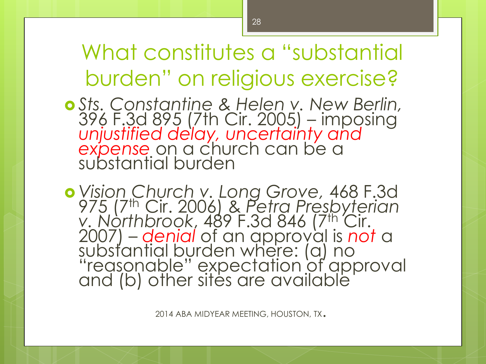- *Sts. Constantine & Helen v. New Berlin,* 396 F.3d 895 (7th Cir. 2005) – imposing *unjustified delay, uncertainty and expense* on a church can be a substantial burden
- *Vision Church v. Long Grove,* 468 F.3d 975 (7th Cir. 2006) & *Petra Presbyterian v. Northbrook*, 489 F.3d 846 (7th Cir. 2007) – *denial* of an approval is *not* a substantial burden where: (a) no "reasonable" expectation of approval and (b) other sites are available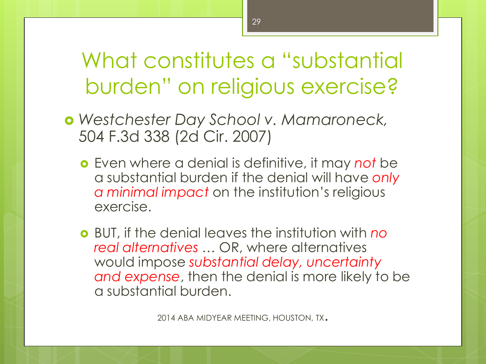- *Westchester Day School v. Mamaroneck,* 504 F.3d 338 (2d Cir. 2007)
	- Even where a denial is definitive, it may *not* be a substantial burden if the denial will have *only a minimal impact* on the institution's religious exercise.
	- BUT, if the denial leaves the institution with *no real alternatives …* OR, where alternatives would impose *substantial delay, uncertainty and expense*, then the denial is more likely to be a substantial burden.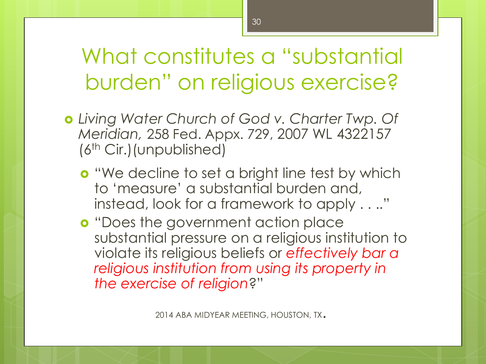- *Living Water Church of God v. Charter Twp. Of Meridian,* 258 Fed. Appx. 729, 2007 WL 4322157 (6th Cir.)(unpublished)
	- **o** "We decline to set a bright line test by which to 'measure' a substantial burden and, instead, look for a framework to apply . . .."
	- **o** "Does the government action place" substantial pressure on a religious institution to violate its religious beliefs or *effectively bar a religious institution from using its property in the exercise of religion*?"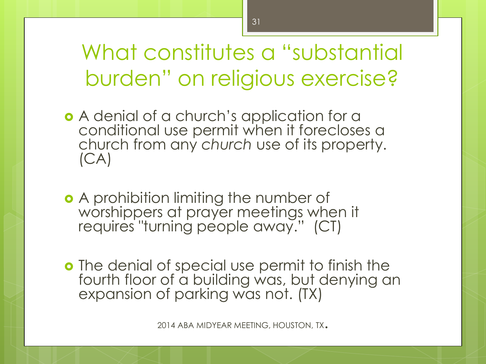- A denial of a church's application for a conditional use permit when it forecloses a church from any *church* use of its property.  $(CA)$
- o A prohibition limiting the number of worshippers at prayer meetings when it requires "turning people away." (CT)
- **o** The denial of special use permit to finish the fourth floor of a building was, but denying an expansion of parking was not. (TX)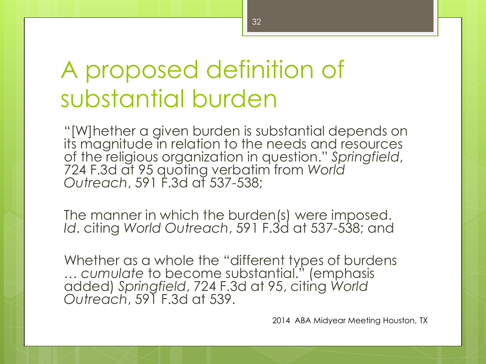## A proposed definition of substantial burden

"[W]hether a given burden is substantial depends on its magnitude in relation to the needs and resources of the religious organization in question." *Springfield*, 724 F.3d at 95 quoting verbatim from *World Outreach*, 591 F.3d at 537-538;

The manner in which the burden(s) were imposed. *Id*. citing *World Outreach*, 591 F.3d at 537-538; and

Whether as a whole the "different types of burdens … *cumulate* to become substantial." (emphasis added) *Springfield*, 724 F.3d at 95, citing *World Outreach*, 591 F.3d at 539.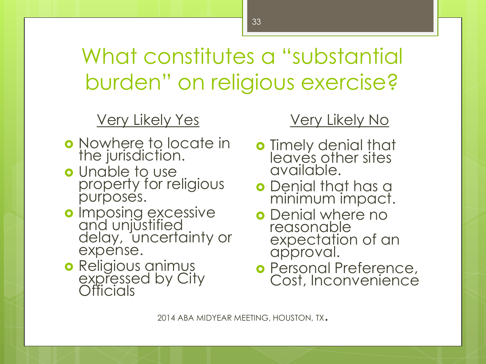Very Likely Yes

- o Nowhere to locate in the jurisdiction.
- **o** Unable to use property for religious purposes.
- o Imposing excessive and unjustified delay, uncertainty or expense.
- **o** Religious animus expressed by City **Officials**

#### Very Likely No

- o Timely denial that leaves other sites available.
- **o** Denial that has a minimum impact.
- o Denial where no reasonable expectation of an approval.
- o Personal Preference, Cost, Inconvenience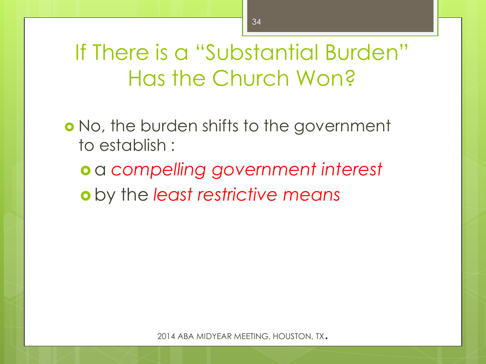If There is a "Substantial Burden" Has the Church Won?

o No, the burden shifts to the government to establish :

 a *compelling government interest* by the *least restrictive means*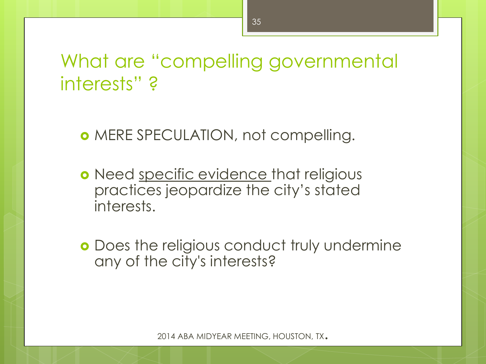### What are "compelling governmental interests" ?

- o MERE SPECULATION, not compelling.
- o Need specific evidence that religious practices jeopardize the city's stated interests.
- **o** Does the religious conduct truly undermine any of the city's interests?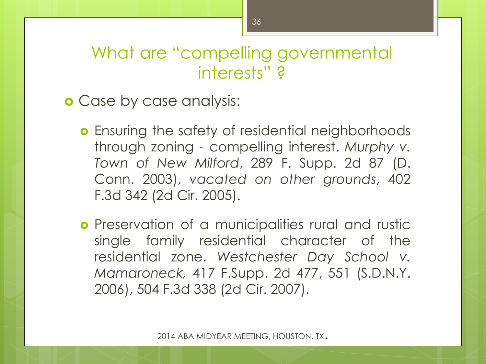#### What are "compelling governmental interests" ?

**o** Case by case analysis:

- **o** Ensuring the safety of residential neighborhoods through zoning - compelling interest. *Murphy v. Town of New Milford*, 289 F. Supp. 2d 87 (D. Conn. 2003), *vacated on other grounds*, 402 F.3d 342 (2d Cir. 2005).
- **o** Preservation of a municipalities rural and rustic single family residential character of the residential zone. *Westchester Day School v. Mamaroneck,* 417 F.Supp. 2d 477, 551 (S.D.N.Y. 2006), 504 F.3d 338 (2d Cir. 2007).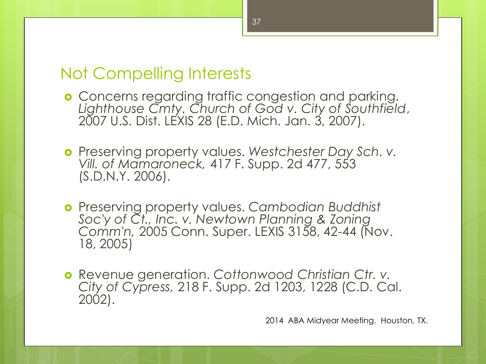#### Not Compelling Interests

- **o** Concerns regarding traffic congestion and parking. *Lighthouse Cmty. Church of God v. City of Southfield*, 2007 U.S. Dist. LEXIS 28 (E.D. Mich. Jan. 3, 2007).
- Preserving property values. *Westchester Day Sch. v. Vill. of Mamaroneck,* 417 F. Supp. 2d 477, 553 (S.D.N.Y. 2006).
- Preserving property values. *Cambodian Buddhist Soc'y of Ct., Inc. v. Newtown Planning & Zoning Comm'n,* 2005 Conn. Super. LEXIS 3158, 42-44 (Nov. 18, 2005)
- Revenue generation. *Cottonwood Christian Ctr. v. City of Cypress,* 218 F. Supp. 2d 1203, 1228 (C.D. Cal. 2002).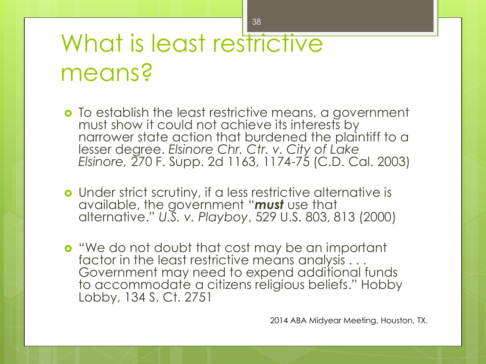# What is least restrictive means?

- o To establish the least restrictive means, a government must show it could not achieve its interests by narrower state action that burdened the plaintiff to a lesser degree. *Elsinore Chr. Ctr. v. City of Lake Elsinore,* 270 F. Supp. 2d 1163, 1174-75 (C.D. Cal. 2003)
- Under strict scrutiny, if a less restrictive alternative is available, the government "*must* use that alternative." *U.S. v. Playboy*, 529 U.S. 803, 813 (2000)
- **o** "We do not doubt that cost may be an important factor in the least restrictive means analysis  $\dots$ Government may need to expend additional funds to accommodate a citizens religious beliefs." Hobby Lobby, 134 S. Ct. 2751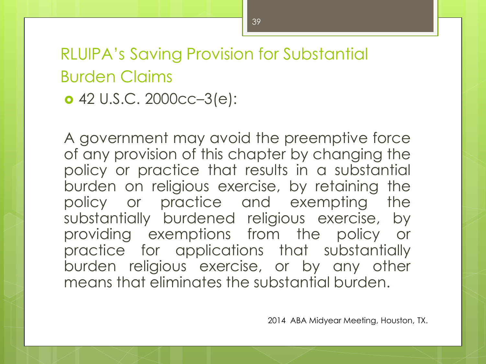### RLUIPA's Saving Provision for Substantial Burden Claims 42 U.S.C. 2000cc–3(e):

A government may avoid the preemptive force of any provision of this chapter by changing the policy or practice that results in a substantial burden on religious exercise, by retaining the policy or practice and exempting the substantially burdened religious exercise, by providing exemptions from the policy or practice for applications that substantially burden religious exercise, or by any other means that eliminates the substantial burden.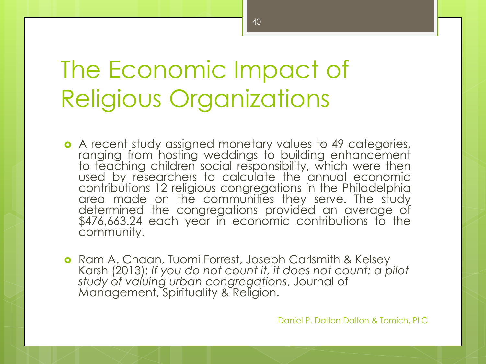## The Economic Impact of Religious Organizations

 A recent study assigned monetary values to 49 categories, ranging from hosting weddings to building enhancement to teaching children social responsibility, which were then used by researchers to calculate the annual economic contributions 12 religious congregations in the Philadelphia area made on the communities they serve. The study determined the congregations provided an average of \$476,663.24 each year in economic contributions to the community.

**o** Ram A. Cnaan, Tuomi Forrest, Joseph Carlsmith & Kelsey Karsh (2013): *If you do not count it, it does not count: a pilot study of valuing urban congregations*, Journal of Management, Spirituality & Religion.

Daniel P. Dalton Dalton & Tomich, PLC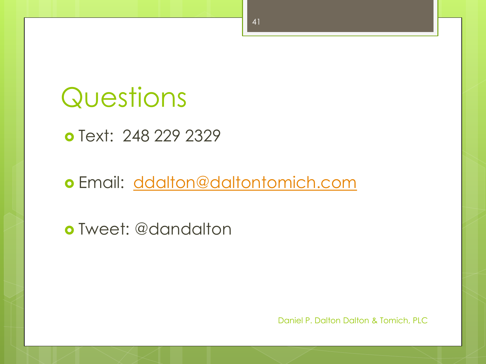## Questions

o Text: 248 229 2329

o Email: [ddalton@daltontomich.com](mailto:ddalton@daltontomich.com)

Tweet: @dandalton

Daniel P. Dalton Dalton & Tomich, PLC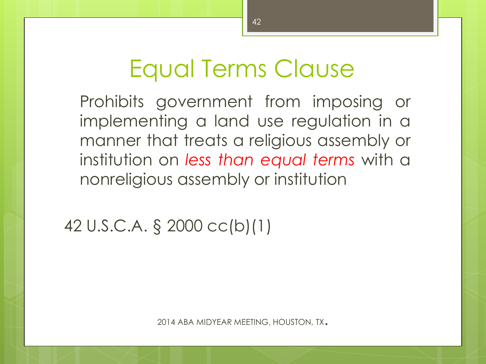## Equal Terms Clause

Prohibits government from imposing or implementing a land use regulation in a manner that treats a religious assembly or institution on *less than equal terms* with a nonreligious assembly or institution

42 U.S.C.A. § 2000 cc(b)(1)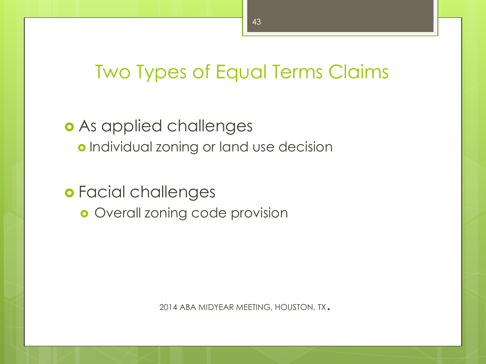### Two Types of Equal Terms Claims

 As applied challenges o Individual zoning or land use decision

 Facial challenges **o** Overall zoning code provision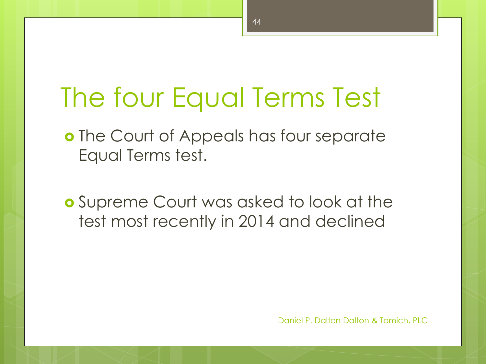# The four Equal Terms Test

- o The Court of Appeals has four separate Equal Terms test.
- Supreme Court was asked to look at the test most recently in 2014 and declined

Daniel P. Dalton Dalton & Tomich, PLC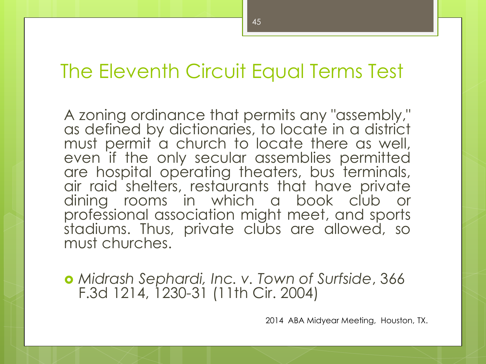#### The Eleventh Circuit Equal Terms Test

A zoning ordinance that permits any "assembly," as defined by dictionaries, to locate in a district must permit a church to locate there as well, even if the only secular assemblies permitted are hospital operating theaters, bus terminals, air raid shelters, restaurants that have private dining rooms in which a book club or professional association might meet, and sports stadiums. Thus, private clubs are allowed, so must churches.

 *Midrash Sephardi, Inc. v. Town of Surfside*, 366 F.3d 1214, 1230-31 (11th Cir. 2004)

2014 ABA Midyear Meeting, Houston, TX.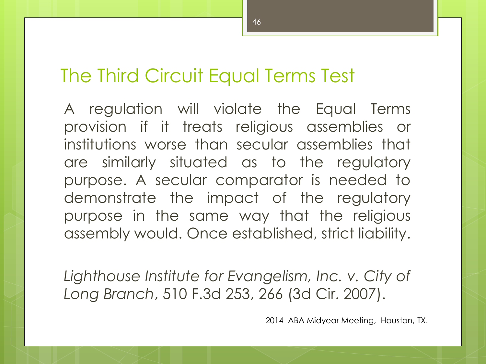#### The Third Circuit Equal Terms Test

A regulation will violate the Equal Terms provision if it treats religious assemblies or institutions worse than secular assemblies that are similarly situated as to the regulatory purpose. A secular comparator is needed to demonstrate the impact of the regulatory purpose in the same way that the religious assembly would. Once established, strict liability.

*Lighthouse Institute for Evangelism, Inc. v. City of Long Branch*, 510 F.3d 253, 266 (3d Cir. 2007).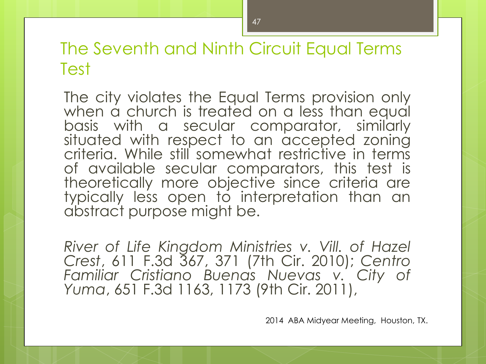The Seventh and Ninth Circuit Equal Terms Test

The city violates the Equal Terms provision only when a church is treated on a less than equal basis with a secular comparator, similarly situated with respect to an accepted zoning criteria. While still somewhat restrictive in terms of available secular comparators, this test is theoretically more objective since criteria are typically less open to interpretation than an abstract purpose might be.

*River of Life Kingdom Ministries v. Vill. of Hazel Crest*, 611 F.3d 367, 371 (7th Cir. 2010); *Centro Familiar Cristiano Buenas Nuevas v. City of Yuma*, 651 F.3d 1163, 1173 (9th Cir. 2011),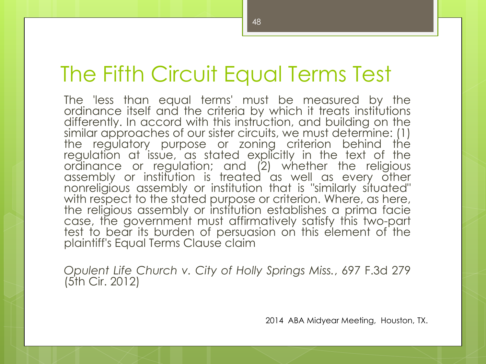### The Fifth Circuit Equal Terms Test

The 'less than equal terms' must be measured by the ordinance itself and the criteria by which it treats institutions differently. In accord with this instruction, and building on the similar approaches of our sister circuits, we must determine: (1) the regulatory purpose or zoning criterion behind the regulation at issue, as stated explicitly in the text of the ordinance or regulation; and (2) whether the religious assembly or institution is treated as well as every other nonreligious assembly or institution that is "similarly situated" with respect to the stated purpose or criterion. Where, as here, the religious assembly or institution establishes a prima facie case, the government must affirmatively satisfy this two-part test to bear its burden of persuasion on this element of the plaintiff's Equal Terms Clause claim

*Opulent Life Church v. City of Holly Springs Miss.*, 697 F.3d 279 (5th Cir. 2012)

2014 ABA Midyear Meeting, Houston, TX.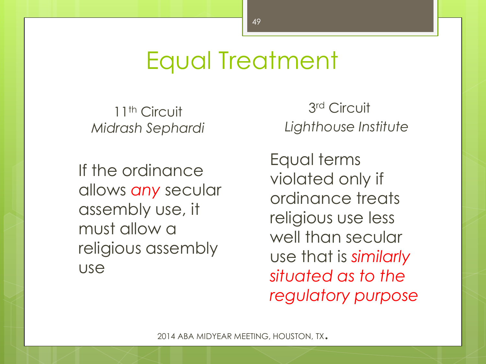## Equal Treatment

11<sup>th</sup> Circuit *Midrash Sephardi*

If the ordinance allows *any* secular assembly use, it must allow a religious assembly use

3 rd Circuit *Lighthouse Institute*

 Equal terms violated only if ordinance treats religious use less well than secular use that is *similarly situated as to the regulatory purpose*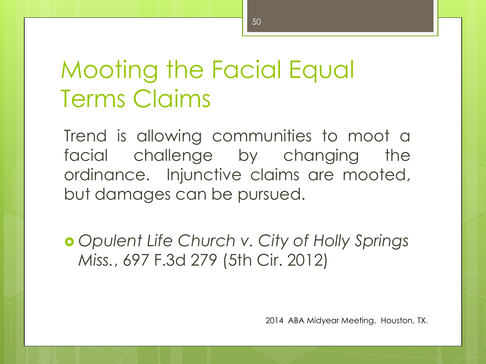## Mooting the Facial Equal Terms Claims

Trend is allowing communities to moot a facial challenge by changing the ordinance. Injunctive claims are mooted, but damages can be pursued.

 *Opulent Life Church v. City of Holly Springs Miss.*, 697 F.3d 279 (5th Cir. 2012)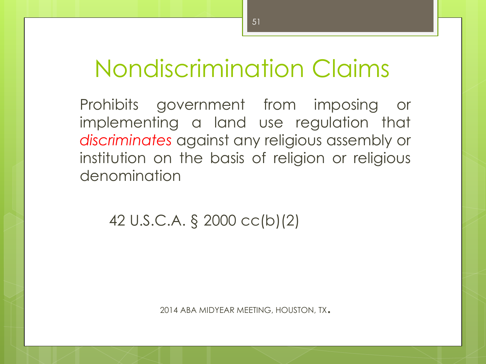## Nondiscrimination Claims

Prohibits government from imposing or implementing a land use regulation that *discriminates* against any religious assembly or institution on the basis of religion or religious denomination

42 U.S.C.A. § 2000 cc(b)(2)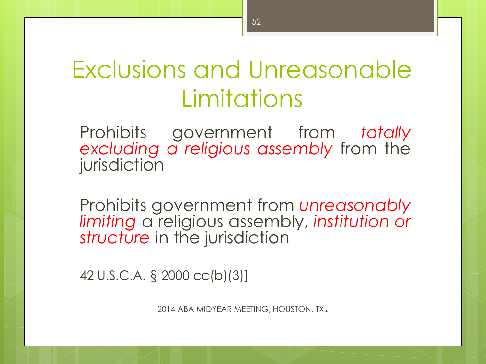## Exclusions and Unreasonable Limitations

Prohibits government from *totally excluding a religious assembly* from the jurisdiction

Prohibits government from *unreasonably limiting* a religious assembly, *institution or* structure in the jurisdiction

42 U.S.C.A. § 2000 cc(b)(3)]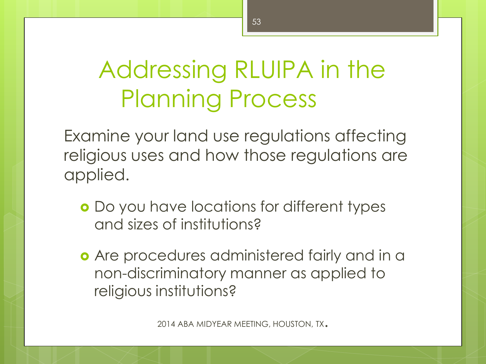# Addressing RLUIPA in the Planning Process

Examine your land use regulations affecting religious uses and how those regulations are applied.

- Do you have locations for different types and sizes of institutions?
- **o** Are procedures administered fairly and in a non-discriminatory manner as applied to religious institutions?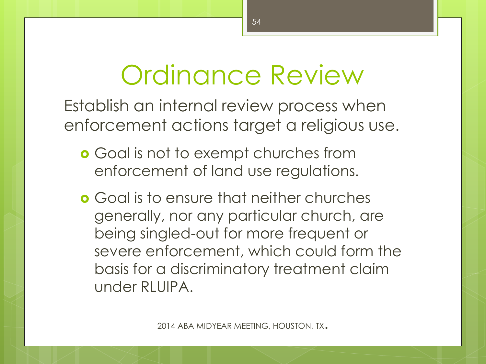# Ordinance Review

Establish an internal review process when enforcement actions target a religious use.

- **o** Goal is not to exempt churches from enforcement of land use regulations.
- Goal is to ensure that neither churches generally, nor any particular church, are being singled-out for more frequent or severe enforcement, which could form the basis for a discriminatory treatment claim under RLUIPA.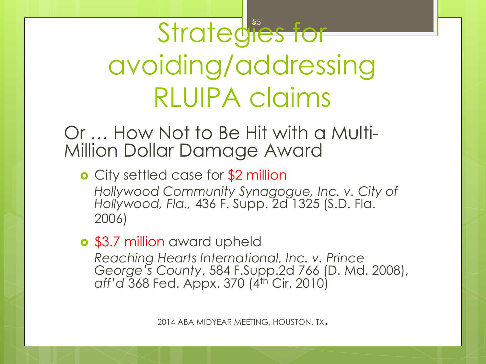Strategies for avoiding/addressing RLUIPA claims

#### Or … How Not to Be Hit with a Multi-Million Dollar Damage Award

**o** City settled case for \$2 million *Hollywood Community Synagogue, Inc. v. City of Hollywood, Fla.,* 436 F. Supp. 2d 1325 (S.D. Fla. 2006)

#### **o** \$3.7 million award upheld

*Reaching Hearts International, Inc. v. Prince George's County*, 584 F.Supp.2d 766 (D. Md. 2008), *aff'd* 368 Fed. Appx. 370 (4th Cir. 2010)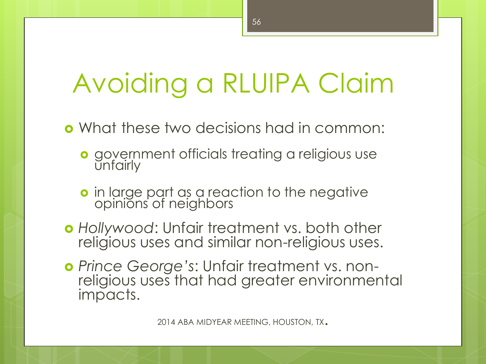# Avoiding a RLUIPA Claim

What these two decisions had in common:

- **o** government officials treating a religious use unfairly
- **o** in large part as a reaction to the negative opinions of neighbors
- *Hollywood*: Unfair treatment vs. both other religious uses and similar non-religious uses.
- *Prince George's*: Unfair treatment vs. nonreligious uses that had greater environmental impacts.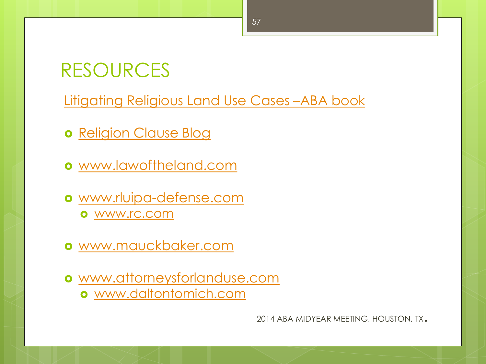### RESOURCES

[Litigating Religious Land Use Cases](http://www.attoneysforlanduse.com/) [–](http://www.attoneysforlanduse.com/)[ABA book](http://www.attoneysforlanduse.com/)

- o [Religion Clause Blog](http://www.rluipadefense.com/)
- [www.lawoftheland.com](http://www.rluipadefense.com/)
- [www.rluipa-defense.com](http://www.rluipadefense.com) [www.rc.com](http://www.rc.com)
- [www.mauckbaker.com](http://www.daltontomich.com/)
- [www.attorneysforlanduse.com](http://www.attorneysforlanduse.com)
	- [www.daltontomich.com](http://www.daltontomich.com)